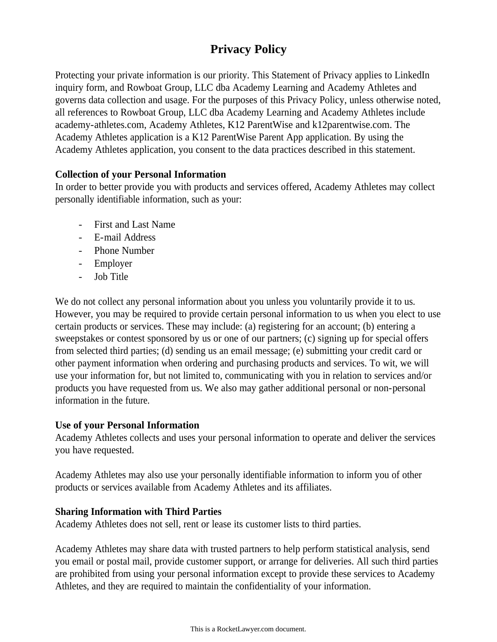# **Privacy Policy**

Protecting your private information is our priority. This Statement of Privacy applies to LinkedIn inquiry form, and Rowboat Group, LLC dba Academy Learning and Academy Athletes and governs data collection and usage. For the purposes of this Privacy Policy, unless otherwise noted, all references to Rowboat Group, LLC dba Academy Learning and Academy Athletes include academy-athletes.com, Academy Athletes, K12 ParentWise and k12parentwise.com. The Academy Athletes application is a K12 ParentWise Parent App application. By using the Academy Athletes application, you consent to the data practices described in this statement.

# **Collection of your Personal Information**

In order to better provide you with products and services offered, Academy Athletes may collect personally identifiable information, such as your:

- First and Last Name
- E-mail Address
- Phone Number
- Employer
- Job Title

We do not collect any personal information about you unless you voluntarily provide it to us. However, you may be required to provide certain personal information to us when you elect to use certain products or services. These may include: (a) registering for an account; (b) entering a sweepstakes or contest sponsored by us or one of our partners; (c) signing up for special offers from selected third parties; (d) sending us an email message; (e) submitting your credit card or other payment information when ordering and purchasing products and services. To wit, we will use your information for, but not limited to, communicating with you in relation to services and/or products you have requested from us. We also may gather additional personal or non-personal information in the future.

# **Use of your Personal Information**

Academy Athletes collects and uses your personal information to operate and deliver the services you have requested.

Academy Athletes may also use your personally identifiable information to inform you of other products or services available from Academy Athletes and its affiliates.

# **Sharing Information with Third Parties**

Academy Athletes does not sell, rent or lease its customer lists to third parties.

Academy Athletes may share data with trusted partners to help perform statistical analysis, send you email or postal mail, provide customer support, or arrange for deliveries. All such third parties are prohibited from using your personal information except to provide these services to Academy Athletes, and they are required to maintain the confidentiality of your information.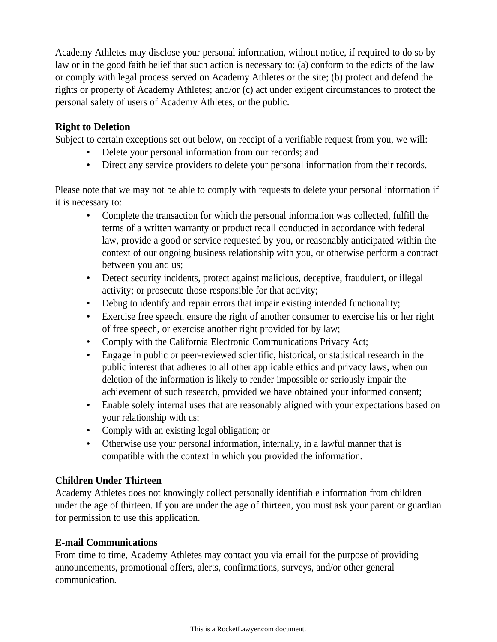Academy Athletes may disclose your personal information, without notice, if required to do so by law or in the good faith belief that such action is necessary to: (a) conform to the edicts of the law or comply with legal process served on Academy Athletes or the site; (b) protect and defend the rights or property of Academy Athletes; and/or (c) act under exigent circumstances to protect the personal safety of users of Academy Athletes, or the public.

# **Right to Deletion**

Subject to certain exceptions set out below, on receipt of a verifiable request from you, we will:

- Delete your personal information from our records; and
- Direct any service providers to delete your personal information from their records.

Please note that we may not be able to comply with requests to delete your personal information if it is necessary to:

- Complete the transaction for which the personal information was collected, fulfill the terms of a written warranty or product recall conducted in accordance with federal law, provide a good or service requested by you, or reasonably anticipated within the context of our ongoing business relationship with you, or otherwise perform a contract between you and us;
- Detect security incidents, protect against malicious, deceptive, fraudulent, or illegal activity; or prosecute those responsible for that activity;
- Debug to identify and repair errors that impair existing intended functionality;
- Exercise free speech, ensure the right of another consumer to exercise his or her right of free speech, or exercise another right provided for by law;
- Comply with the California Electronic Communications Privacy Act;
- Engage in public or peer-reviewed scientific, historical, or statistical research in the public interest that adheres to all other applicable ethics and privacy laws, when our deletion of the information is likely to render impossible or seriously impair the achievement of such research, provided we have obtained your informed consent;
- Enable solely internal uses that are reasonably aligned with your expectations based on your relationship with us;
- Comply with an existing legal obligation; or
- Otherwise use your personal information, internally, in a lawful manner that is compatible with the context in which you provided the information.

# **Children Under Thirteen**

Academy Athletes does not knowingly collect personally identifiable information from children under the age of thirteen. If you are under the age of thirteen, you must ask your parent or guardian for permission to use this application.

# **E-mail Communications**

From time to time, Academy Athletes may contact you via email for the purpose of providing announcements, promotional offers, alerts, confirmations, surveys, and/or other general communication.